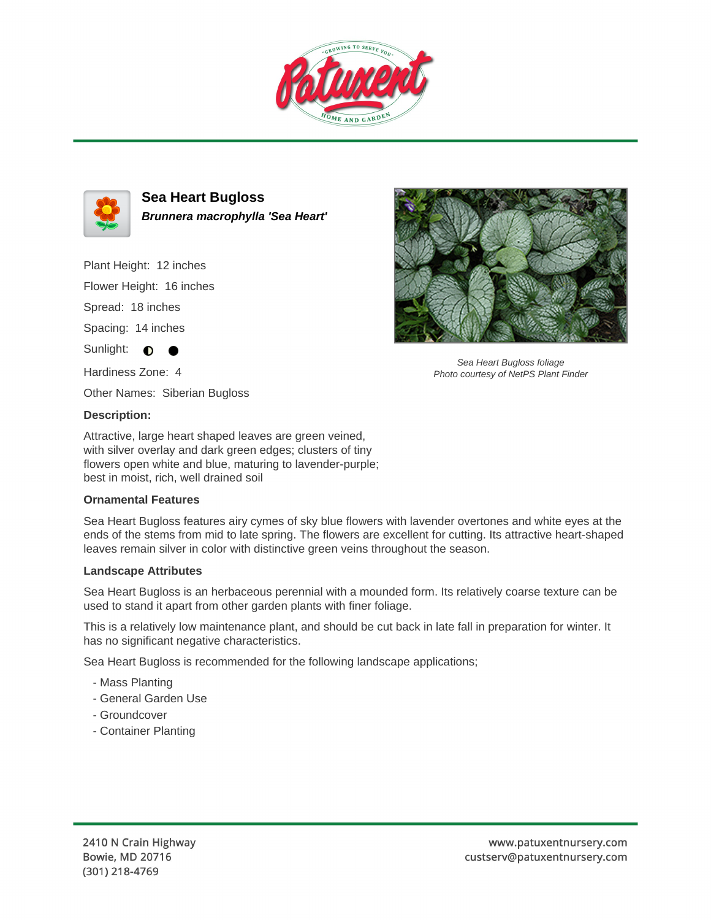



**Sea Heart Bugloss Brunnera macrophylla 'Sea Heart'**

Plant Height: 12 inches

Flower Height: 16 inches

Spread: 18 inches

Spacing: 14 inches

Sunlight:  $\bullet$ 

Hardiness Zone: 4

Other Names: Siberian Bugloss

## **Description:**

Attractive, large heart shaped leaves are green veined, with silver overlay and dark green edges; clusters of tiny flowers open white and blue, maturing to lavender-purple; best in moist, rich, well drained soil

## **Ornamental Features**

Sea Heart Bugloss features airy cymes of sky blue flowers with lavender overtones and white eyes at the ends of the stems from mid to late spring. The flowers are excellent for cutting. Its attractive heart-shaped leaves remain silver in color with distinctive green veins throughout the season.

## **Landscape Attributes**

Sea Heart Bugloss is an herbaceous perennial with a mounded form. Its relatively coarse texture can be used to stand it apart from other garden plants with finer foliage.

This is a relatively low maintenance plant, and should be cut back in late fall in preparation for winter. It has no significant negative characteristics.

Sea Heart Bugloss is recommended for the following landscape applications;

- Mass Planting
- General Garden Use
- Groundcover
- Container Planting



Sea Heart Bugloss foliage Photo courtesy of NetPS Plant Finder